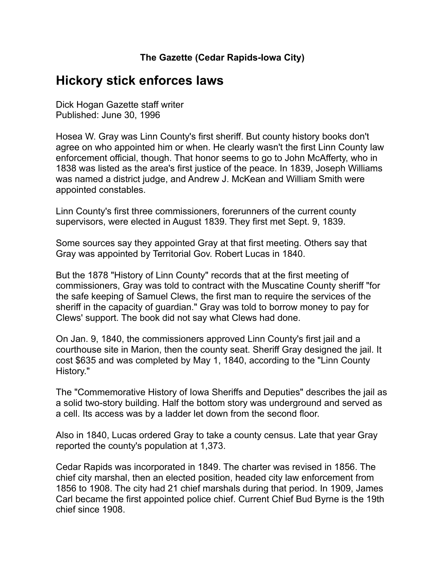## **Hickory stick enforces laws**

Dick Hogan Gazette staff writer Published: June 30, 1996

Hosea W. Gray was Linn County's first sheriff. But county history books don't agree on who appointed him or when. He clearly wasn't the first Linn County law enforcement official, though. That honor seems to go to John McAfferty, who in 1838 was listed as the area's first justice of the peace. In 1839, Joseph Williams was named a district judge, and Andrew J. McKean and William Smith were appointed constables.

Linn County's first three commissioners, forerunners of the current county supervisors, were elected in August 1839. They first met Sept. 9, 1839.

Some sources say they appointed Gray at that first meeting. Others say that Gray was appointed by Territorial Gov. Robert Lucas in 1840.

But the 1878 "History of Linn County" records that at the first meeting of commissioners, Gray was told to contract with the Muscatine County sheriff "for the safe keeping of Samuel Clews, the first man to require the services of the sheriff in the capacity of guardian." Gray was told to borrow money to pay for Clews' support. The book did not say what Clews had done.

On Jan. 9, 1840, the commissioners approved Linn County's first jail and a courthouse site in Marion, then the county seat. Sheriff Gray designed the jail. It cost \$635 and was completed by May 1, 1840, according to the "Linn County History."

The "Commemorative History of Iowa Sheriffs and Deputies" describes the jail as a solid two-story building. Half the bottom story was underground and served as a cell. Its access was by a ladder let down from the second floor.

Also in 1840, Lucas ordered Gray to take a county census. Late that year Gray reported the county's population at 1,373.

Cedar Rapids was incorporated in 1849. The charter was revised in 1856. The chief city marshal, then an elected position, headed city law enforcement from 1856 to 1908. The city had 21 chief marshals during that period. In 1909, James Carl became the first appointed police chief. Current Chief Bud Byrne is the 19th chief since 1908.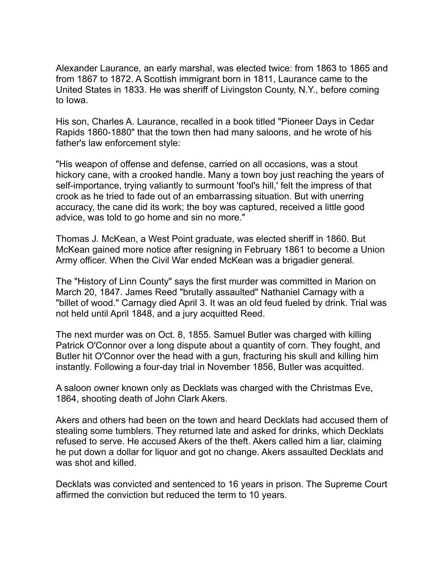Alexander Laurance, an early marshal, was elected twice: from 1863 to 1865 and from 1867 to 1872. A Scottish immigrant born in 1811, Laurance came to the United States in 1833. He was sheriff of Livingston County, N.Y., before coming to Iowa.

His son, Charles A. Laurance, recalled in a book titled "Pioneer Days in Cedar Rapids 1860-1880" that the town then had many saloons, and he wrote of his father's law enforcement style:

"His weapon of offense and defense, carried on all occasions, was a stout hickory cane, with a crooked handle. Many a town boy just reaching the years of self-importance, trying valiantly to surmount 'fool's hill,' felt the impress of that crook as he tried to fade out of an embarrassing situation. But with unerring accuracy, the cane did its work; the boy was captured, received a little good advice, was told to go home and sin no more."

Thomas J. McKean, a West Point graduate, was elected sheriff in 1860. But McKean gained more notice after resigning in February 1861 to become a Union Army officer. When the Civil War ended McKean was a brigadier general.

The "History of Linn County" says the first murder was committed in Marion on March 20, 1847. James Reed "brutally assaulted" Nathaniel Carnagy with a "billet of wood." Carnagy died April 3. It was an old feud fueled by drink. Trial was not held until April 1848, and a jury acquitted Reed.

The next murder was on Oct. 8, 1855. Samuel Butler was charged with killing Patrick O'Connor over a long dispute about a quantity of corn. They fought, and Butler hit O'Connor over the head with a gun, fracturing his skull and killing him instantly. Following a four-day trial in November 1856, Butler was acquitted.

A saloon owner known only as Decklats was charged with the Christmas Eve, 1864, shooting death of John Clark Akers.

Akers and others had been on the town and heard Decklats had accused them of stealing some tumblers. They returned late and asked for drinks, which Decklats refused to serve. He accused Akers of the theft. Akers called him a liar, claiming he put down a dollar for liquor and got no change. Akers assaulted Decklats and was shot and killed.

Decklats was convicted and sentenced to 16 years in prison. The Supreme Court affirmed the conviction but reduced the term to 10 years.